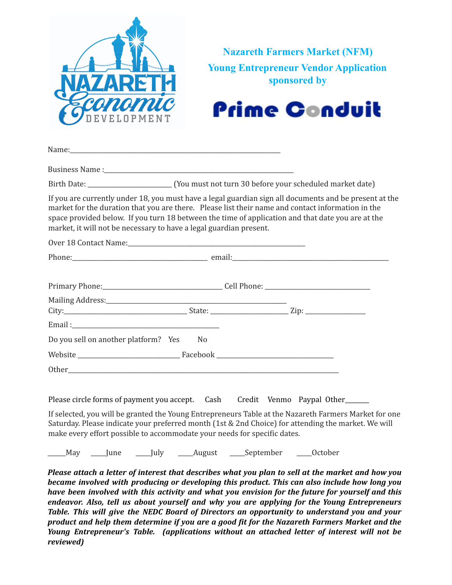

**Nazareth Farmers Market (NFM) Young Entrepreneur Vendor Application sponsored by**



| If you are currently under 18, you must have a legal guardian sign all documents and be present at the<br>market for the duration that you are there. Please list their name and contact information in the<br>space provided below. If you turn 18 between the time of application and that date you are at the<br>market, it will not be necessary to have a legal guardian present. |                |  |  |
|----------------------------------------------------------------------------------------------------------------------------------------------------------------------------------------------------------------------------------------------------------------------------------------------------------------------------------------------------------------------------------------|----------------|--|--|
|                                                                                                                                                                                                                                                                                                                                                                                        |                |  |  |
|                                                                                                                                                                                                                                                                                                                                                                                        |                |  |  |
|                                                                                                                                                                                                                                                                                                                                                                                        |                |  |  |
|                                                                                                                                                                                                                                                                                                                                                                                        |                |  |  |
| Email: 2008 - 2014 - 2015 - 2016 - 2017 - 2018 - 2019 - 2019 - 2019 - 2019 - 2019 - 2019 - 2019 - 2019 - 2019 - 2019 - 2019 - 2019 - 2019 - 2019 - 2019 - 2019 - 2019 - 2019 - 2019 - 2019 - 2019 - 2019 - 2019 - 2019 - 2019                                                                                                                                                          |                |  |  |
| Do you sell on another platform? Yes                                                                                                                                                                                                                                                                                                                                                   | N <sub>0</sub> |  |  |
|                                                                                                                                                                                                                                                                                                                                                                                        |                |  |  |
|                                                                                                                                                                                                                                                                                                                                                                                        |                |  |  |
|                                                                                                                                                                                                                                                                                                                                                                                        |                |  |  |

Please circle forms of payment you accept. Cash Credit Venmo Paypal Other

If selected, you will be granted the Young Entrepreneurs Table at the Nazareth Farmers Market for one Saturday. Please indicate your preferred month (1st & 2nd Choice) for attending the market. We will make every effort possible to accommodate your needs for specific dates.

May June July August September October

Please attach a letter of interest that describes what you plan to sell at the market and how you *became involved with producing or developing this product. This can also include how long you have been involved with this activity and what you envision for the future for yourself and this endeavor. Also, tell us about yourself and why you are applying for the Young Entrepreneurs Table. This will give the NEDC Board of Directors an opportunity to understand you and your product and help them determine if you are a good fit for the Nazareth Farmers Market and the Young Entrepreneur's Table. (applications without an attached letter of interest will not be reviewed)*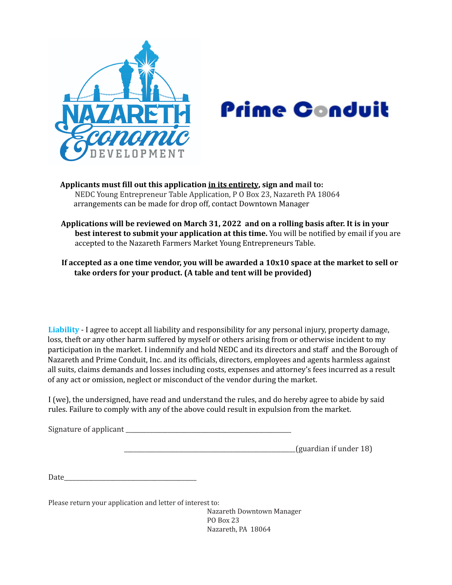

## **Prime Gonduit**

**Applicants must fill out this application in its entirety, sign and mail to:** NEDC Young Entrepreneur Table Application, P O Box 23, Nazareth PA 18064 arrangements can be made for drop off, contact Downtown Manager

**Applications will be reviewed on March 31, 2022 and on a rolling basis after. It is in your best interest to submit your application at this time.** You will be notified by email if you are accepted to the Nazareth Farmers Market Young Entrepreneurs Table.

If accepted as a one time vendor, you will be awarded a  $10x10$  space at the market to sell or **take orders for your product. (A table and tent will be provided)**

**Liability** - I agree to accept all liability and responsibility for any personal injury, property damage, loss, theft or any other harm suffered by myself or others arising from or otherwise incident to my participation in the market. I indemnify and hold NEDC and its directors and staff and the Borough of Nazareth and Prime Conduit, Inc. and its officials, directors, employees and agents harmless against all suits, claims demands and losses including costs, expenses and attorney's fees incurred as a result of any act or omission, neglect or misconduct of the vendor during the market.

I (we), the undersigned, have read and understand the rules, and do hereby agree to abide by said rules. Failure to comply with any of the above could result in expulsion from the market.

| Signature of applicant |  |
|------------------------|--|
|                        |  |
|                        |  |

 $\alpha$  (guardian if under 18)

Date\_\_\_\_\_\_\_\_\_\_\_\_\_\_\_\_\_\_\_\_\_\_\_\_\_\_\_\_\_\_\_\_\_\_\_\_\_\_\_\_\_\_\_\_

Please return your application and letter of interest to:

Nazareth Downtown Manager PO Box 23 Nazareth, PA 18064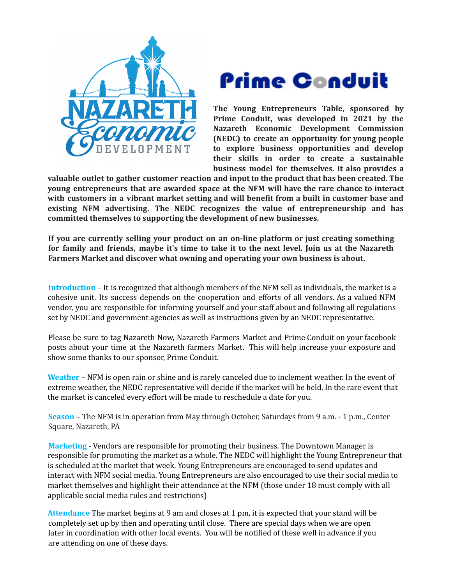



**The Young Entrepreneurs Table, sponsored by Prime Conduit, was developed in 2021 by the Nazareth Economic Development Commission (NEDC) to create an opportunity for young people to explore business opportunities and develop their skills in order to create a sustainable business model for themselves. It also provides a**

**valuable outlet to gather customer reaction and input to the product that has been created. The young entrepreneurs that are awarded space at the NFM will have the rare chance to interact with customers in a vibrant market setting and will benefit from a built in customer base and existing NFM advertising. The NEDC recognizes the value of entrepreneurship and has committed themselves to supporting the development of new businesses.**

**If you are currently selling your product on an on-line platform or just creating something** for family and friends, maybe it's time to take it to the next level. Join us at the Nazareth **Farmers Market and discover what owning and operating your own business is about.**

**Introduction** - It is recognized that although members of the NFM sell as individuals, the market is a cohesive unit. Its success depends on the cooperation and efforts of all vendors. As a valued NFM vendor, you are responsible for informing yourself and your staff about and following all regulations set by NEDC and government agencies as well as instructions given by an NEDC representative.

Please be sure to tag Nazareth Now, Nazareth Farmers Market and Prime Conduit on your facebook posts about your time at the Nazareth farmers Market. This will help increase your exposure and show some thanks to our sponsor, Prime Conduit.

**Weather** – NFM is open rain or shine and is rarely canceled due to inclement weather. In the event of extreme weather, the NEDC representative will decide if the market will be held. In the rare event that the market is canceled every effort will be made to reschedule a date for you.

**Season** – The NFM is in operation from May through October, Saturdays from 9 a.m. - 1 p.m., Center Square, Nazareth, PA

**Marketing** - Vendors are responsible for promoting their business. The Downtown Manager is responsible for promoting the market as a whole. The NEDC will highlight the Young Entrepreneur that is scheduled at the market that week. Young Entrepreneurs are encouraged to send updates and interact with NFM social media. Young Entrepreneurs are also encouraged to use their social media to market themselves and highlight their attendance at the NFM (those under 18 must comply with all applicable social media rules and restrictions)

**Attendance** The market begins at 9 am and closes at 1 pm, it is expected that your stand will be completely set up by then and operating until close. There are special days when we are open later in coordination with other local events. You will be notified of these well in advance if you are attending on one of these days.